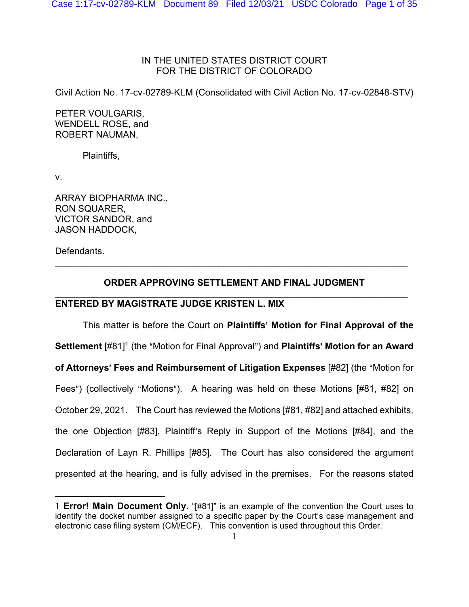# IN THE UNITED STATES DISTRICT COURT FOR THE DISTRICT OF COLORADO

Civil Action No. 17-cv-02789-KLM (Consolidated with Civil Action No. 17-cv-02848-STV)

PETER VOULGARIS, WENDELL ROSE, and ROBERT NAUMAN,

Plaintiffs,

v.

ARRAY BIOPHARMA INC., RON SQUARER, VICTOR SANDOR, and JASON HADDOCK,

Defendants.

# **ORDER APPROVING SETTLEMENT AND FINAL JUDGMENT**  $\mathcal{L}_\mathcal{L} = \mathcal{L}_\mathcal{L} = \mathcal{L}_\mathcal{L} = \mathcal{L}_\mathcal{L} = \mathcal{L}_\mathcal{L} = \mathcal{L}_\mathcal{L} = \mathcal{L}_\mathcal{L} = \mathcal{L}_\mathcal{L} = \mathcal{L}_\mathcal{L} = \mathcal{L}_\mathcal{L} = \mathcal{L}_\mathcal{L} = \mathcal{L}_\mathcal{L} = \mathcal{L}_\mathcal{L} = \mathcal{L}_\mathcal{L} = \mathcal{L}_\mathcal{L} = \mathcal{L}_\mathcal{L} = \mathcal{L}_\mathcal{L}$

\_\_\_\_\_\_\_\_\_\_\_\_\_\_\_\_\_\_\_\_\_\_\_\_\_\_\_\_\_\_\_\_\_\_\_\_\_\_\_\_\_\_\_\_\_\_\_\_\_\_\_\_\_\_\_\_\_\_\_\_\_\_\_\_\_\_\_\_\_

# **ENTERED BY MAGISTRATE JUDGE KRISTEN L. MIX**

This matter is before the Court on **Plaintiffs**= **Motion for Final Approval of the Settlement**  $[#81]$ <sup>1</sup> (the "Motion for Final Approval") and **Plaintiffs' Motion for an Award of Attorneys' Fees and Reimbursement of Litigation Expenses** [#82] (the "Motion for Fees") (collectively "Motions"). A hearing was held on these Motions [#81, #82] on October 29, 2021. The Court has reviewed the Motions [#81, #82] and attached exhibits, the one Objection  $[#83]$ , Plaintiff's Reply in Support of the Motions  $[#84]$ , and the Declaration of Layn R. Phillips [#85]. The Court has also considered the argument presented at the hearing, and is fully advised in the premises. For the reasons stated

<sup>1</sup> **Error! Main Document Only.** "[#81]" is an example of the convention the Court uses to identify the docket number assigned to a specific paper by the Court's case management and electronic case filing system (CM/ECF). This convention is used throughout this Order.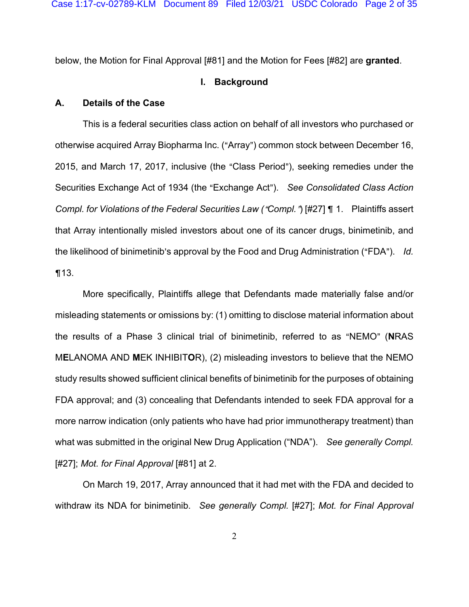below, the Motion for Final Approval [#81] and the Motion for Fees [#82] are **granted**.

### **I. Background**

## **A. Details of the Case**

This is a federal securities class action on behalf of all investors who purchased or otherwise acquired Array Biopharma Inc. ("Array") common stock between December 16, 2015, and March 17, 2017, inclusive (the "Class Period"), seeking remedies under the Securities Exchange Act of 1934 (the "Exchange Act"). See *Consolidated Class Action Compl. for Violations of the Federal Securities Law ("Compl."*) [#27] **[1.** Plaintiffs assert that Array intentionally misled investors about one of its cancer drugs, binimetinib, and the likelihood of binimetinib's approval by the Food and Drug Administration ("FDA"). *Id.*  $\P$ 13.

More specifically, Plaintiffs allege that Defendants made materially false and/or misleading statements or omissions by: (1) omitting to disclose material information about the results of a Phase 3 clinical trial of binimetinib, referred to as "NEMO" (NRAS M**E**LANOMA AND **M**EK INHIBIT**O**R), (2) misleading investors to believe that the NEMO study results showed sufficient clinical benefits of binimetinib for the purposes of obtaining FDA approval; and (3) concealing that Defendants intended to seek FDA approval for a more narrow indication (only patients who have had prior immunotherapy treatment) than what was submitted in the original New Drug Application ("NDA"). *See generally Compl.* [#27]; *Mot. for Final Approval* [#81] at 2.

On March 19, 2017, Array announced that it had met with the FDA and decided to withdraw its NDA for binimetinib. *See generally Compl.* [#27]; *Mot. for Final Approval*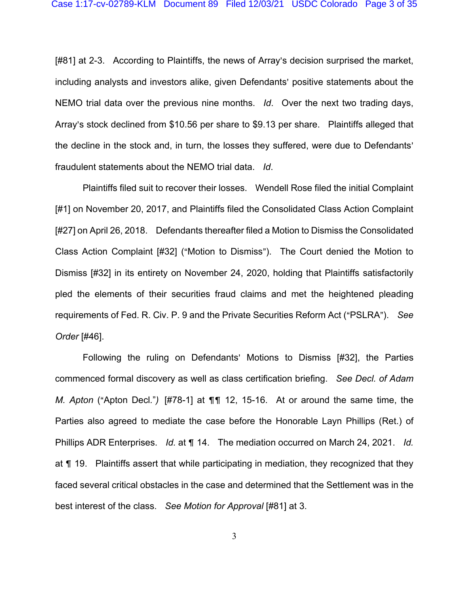[#81] at 2-3. According to Plaintiffs, the news of Array's decision surprised the market, including analysts and investors alike, given Defendants' positive statements about the NEMO trial data over the previous nine months. *Id*. Over the next two trading days, Array's stock declined from \$10.56 per share to \$9.13 per share. Plaintiffs alleged that the decline in the stock and, in turn, the losses they suffered, were due to Defendants' fraudulent statements about the NEMO trial data. *Id*.

Plaintiffs filed suit to recover their losses. Wendell Rose filed the initial Complaint [#1] on November 20, 2017, and Plaintiffs filed the Consolidated Class Action Complaint [#27] on April 26, 2018. Defendants thereafter filed a Motion to Dismiss the Consolidated Class Action Complaint [#32] ("Motion to Dismiss"). The Court denied the Motion to Dismiss [#32] in its entirety on November 24, 2020, holding that Plaintiffs satisfactorily pled the elements of their securities fraud claims and met the heightened pleading requirements of Fed. R. Civ. P. 9 and the Private Securities Reform Act ("PSLRA"). See *Order* [#46].

Following the ruling on Defendants' Motions to Dismiss [#32], the Parties commenced formal discovery as well as class certification briefing. *See Decl. of Adam M. Apton* ("Apton Decl.") [#78-1] at  $\P\P$  12, 15-16. At or around the same time, the Parties also agreed to mediate the case before the Honorable Layn Phillips (Ret.) of Phillips ADR Enterprises. *Id.* at ¶ 14. The mediation occurred on March 24, 2021. *Id.* at  $\P$  19. Plaintiffs assert that while participating in mediation, they recognized that they faced several critical obstacles in the case and determined that the Settlement was in the best interest of the class. *See Motion for Approval* [#81] at 3.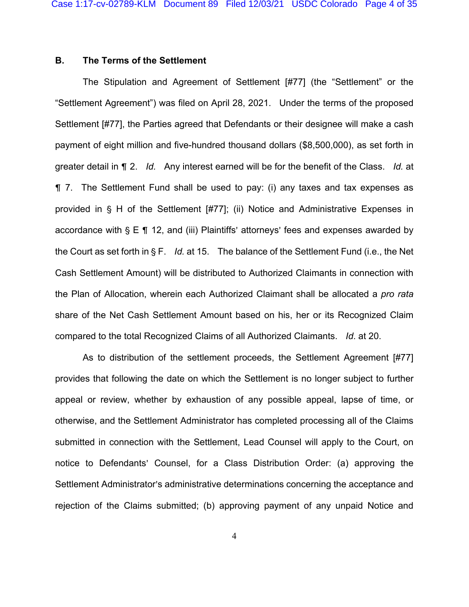## **B. The Terms of the Settlement**

The Stipulation and Agreement of Settlement [#77] (the "Settlement" or the "Settlement Agreement") was filed on April 28, 2021. Under the terms of the proposed Settlement [#77], the Parties agreed that Defendants or their designee will make a cash payment of eight million and five-hundred thousand dollars (\$8,500,000), as set forth in greater detail in & 2. *Id.* Any interest earned will be for the benefit of the Class. *Id.* at  $\P$  7. The Settlement Fund shall be used to pay: (i) any taxes and tax expenses as provided in  $\S$  H of the Settlement [#77]; (ii) Notice and Administrative Expenses in accordance with  $S \to \P 12$ , and (iii) Plaintiffs' attorneys' fees and expenses awarded by the Court as set forth in  $\S F.$  *Id.* at 15. The balance of the Settlement Fund (i.e., the Net Cash Settlement Amount) will be distributed to Authorized Claimants in connection with the Plan of Allocation, wherein each Authorized Claimant shall be allocated a *pro rata*  share of the Net Cash Settlement Amount based on his, her or its Recognized Claim compared to the total Recognized Claims of all Authorized Claimants. *Id*. at 20.

As to distribution of the settlement proceeds, the Settlement Agreement [#77] provides that following the date on which the Settlement is no longer subject to further appeal or review, whether by exhaustion of any possible appeal, lapse of time, or otherwise, and the Settlement Administrator has completed processing all of the Claims submitted in connection with the Settlement, Lead Counsel will apply to the Court, on notice to Defendants' Counsel, for a Class Distribution Order: (a) approving the Settlement Administrator's administrative determinations concerning the acceptance and rejection of the Claims submitted; (b) approving payment of any unpaid Notice and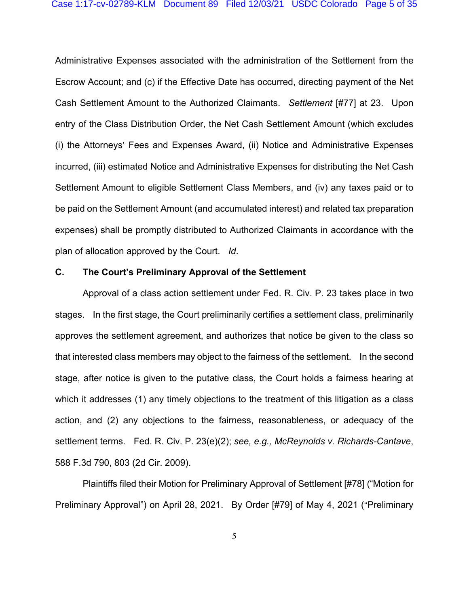Administrative Expenses associated with the administration of the Settlement from the Escrow Account; and (c) if the Effective Date has occurred, directing payment of the Net Cash Settlement Amount to the Authorized Claimants. *Settlement* [#77] at 23. Upon entry of the Class Distribution Order, the Net Cash Settlement Amount (which excludes (i) the Attorneys' Fees and Expenses Award, (ii) Notice and Administrative Expenses incurred, (iii) estimated Notice and Administrative Expenses for distributing the Net Cash Settlement Amount to eligible Settlement Class Members, and (iv) any taxes paid or to be paid on the Settlement Amount (and accumulated interest) and related tax preparation expenses) shall be promptly distributed to Authorized Claimants in accordance with the plan of allocation approved by the Court. *Id*.

#### **C. The Court's Preliminary Approval of the Settlement**

Approval of a class action settlement under Fed. R. Civ. P. 23 takes place in two stages. In the first stage, the Court preliminarily certifies a settlement class, preliminarily approves the settlement agreement, and authorizes that notice be given to the class so that interested class members may object to the fairness of the settlement. In the second stage, after notice is given to the putative class, the Court holds a fairness hearing at which it addresses (1) any timely objections to the treatment of this litigation as a class action, and (2) any objections to the fairness, reasonableness, or adequacy of the settlement terms. Fed. R. Civ. P. 23(e)(2); *see, e.g., McReynolds v. Richards-Cantave*, 588 F.3d 790, 803 (2d Cir. 2009).

Plaintiffs filed their Motion for Preliminary Approval of Settlement [#78] ("Motion for Preliminary Approval") on April 28, 2021. By Order [#79] of May 4, 2021 ("Preliminary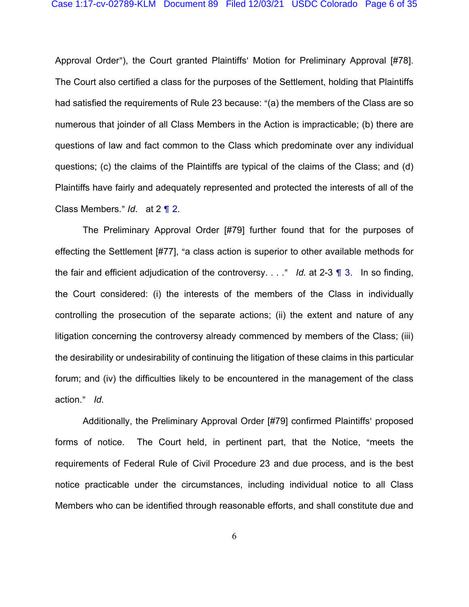Approval Order"), the Court granted Plaintiffs' Motion for Preliminary Approval [#78]. The Court also certified a class for the purposes of the Settlement, holding that Plaintiffs had satisfied the requirements of Rule 23 because: "(a) the members of the Class are so numerous that joinder of all Class Members in the Action is impracticable; (b) there are questions of law and fact common to the Class which predominate over any individual questions; (c) the claims of the Plaintiffs are typical of the claims of the Class; and (d) Plaintiffs have fairly and adequately represented and protected the interests of all of the Class Members." *Id.* at 2 1 2.

The Preliminary Approval Order [#79] further found that for the purposes of effecting the Settlement [#77], "a class action is superior to other available methods for the fair and efficient adjudication of the controversy.  $\ldots$  *Id.* at 2-3  $\parallel$  3. In so finding, the Court considered: (i) the interests of the members of the Class in individually controlling the prosecution of the separate actions; (ii) the extent and nature of any litigation concerning the controversy already commenced by members of the Class; (iii) the desirability or undesirability of continuing the litigation of these claims in this particular forum; and (iv) the difficulties likely to be encountered in the management of the class action." *Id*.

Additionally, the Preliminary Approval Order [#79] confirmed Plaintiffs' proposed forms of notice. The Court held, in pertinent part, that the Notice, "meets the requirements of Federal Rule of Civil Procedure 23 and due process, and is the best notice practicable under the circumstances, including individual notice to all Class Members who can be identified through reasonable efforts, and shall constitute due and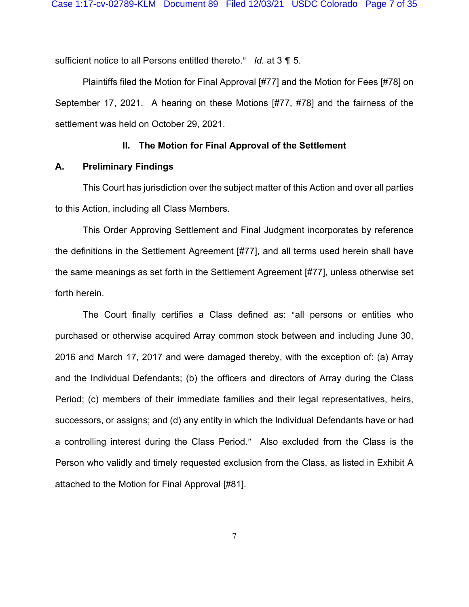sufficient notice to all Persons entitled thereto." Id. at 3 1 5.

Plaintiffs filed the Motion for Final Approval [#77] and the Motion for Fees [#78] on September 17, 2021. A hearing on these Motions [#77, #78] and the fairness of the settlement was held on October 29, 2021.

### **II. The Motion for Final Approval of the Settlement**

### **A. Preliminary Findings**

This Court has jurisdiction over the subject matter of this Action and over all parties to this Action, including all Class Members.

This Order Approving Settlement and Final Judgment incorporates by reference the definitions in the Settlement Agreement [#77], and all terms used herein shall have the same meanings as set forth in the Settlement Agreement [#77], unless otherwise set forth herein.

The Court finally certifies a Class defined as: "all persons or entities who purchased or otherwise acquired Array common stock between and including June 30, 2016 and March 17, 2017 and were damaged thereby, with the exception of: (a) Array and the Individual Defendants; (b) the officers and directors of Array during the Class Period; (c) members of their immediate families and their legal representatives, heirs, successors, or assigns; and (d) any entity in which the Individual Defendants have or had a controlling interest during the Class Period." Also excluded from the Class is the Person who validly and timely requested exclusion from the Class, as listed in Exhibit A attached to the Motion for Final Approval [#81].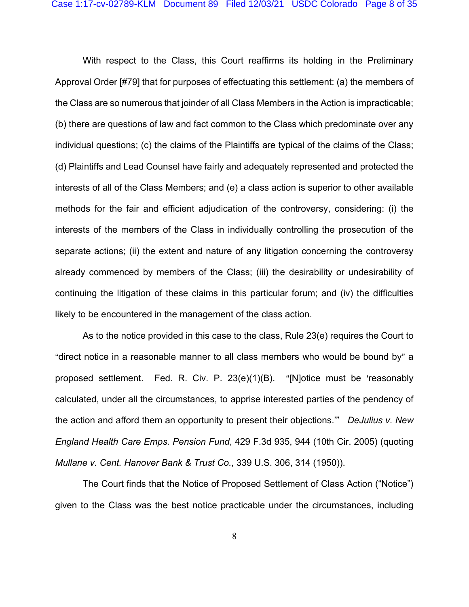With respect to the Class, this Court reaffirms its holding in the Preliminary Approval Order [#79] that for purposes of effectuating this settlement: (a) the members of the Class are so numerous that joinder of all Class Members in the Action is impracticable; (b) there are questions of law and fact common to the Class which predominate over any individual questions; (c) the claims of the Plaintiffs are typical of the claims of the Class; (d) Plaintiffs and Lead Counsel have fairly and adequately represented and protected the interests of all of the Class Members; and (e) a class action is superior to other available methods for the fair and efficient adjudication of the controversy, considering: (i) the interests of the members of the Class in individually controlling the prosecution of the separate actions; (ii) the extent and nature of any litigation concerning the controversy already commenced by members of the Class; (iii) the desirability or undesirability of continuing the litigation of these claims in this particular forum; and (iv) the difficulties likely to be encountered in the management of the class action.

 As to the notice provided in this case to the class, Rule 23(e) requires the Court to "direct notice in a reasonable manner to all class members who would be bound by" a proposed settlement. Fed. R. Civ. P.  $23(e)(1)(B)$ . "[N]otice must be 'reasonably calculated, under all the circumstances, to apprise interested parties of the pendency of the action and afford them an opportunity to present their objections.'" *DeJulius v. New England Health Care Emps. Pension Fund*, 429 F.3d 935, 944 (10th Cir. 2005) (quoting *Mullane v. Cent. Hanover Bank & Trust Co.*, 339 U.S. 306, 314 (1950)).

The Court finds that the Notice of Proposed Settlement of Class Action ("Notice") given to the Class was the best notice practicable under the circumstances, including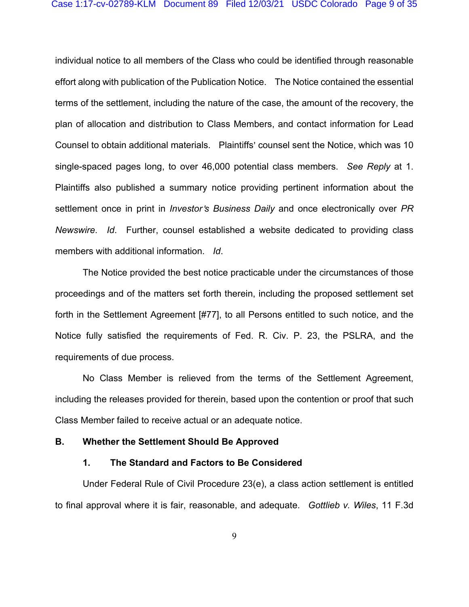individual notice to all members of the Class who could be identified through reasonable effort along with publication of the Publication Notice. The Notice contained the essential terms of the settlement, including the nature of the case, the amount of the recovery, the plan of allocation and distribution to Class Members, and contact information for Lead Counsel to obtain additional materials. Plaintiffs' counsel sent the Notice, which was 10 single-spaced pages long, to over 46,000 potential class members. *See Reply* at 1. Plaintiffs also published a summary notice providing pertinent information about the settlement once in print in *Investor's Business Daily* and once electronically over *PR Newswire*. *Id*. Further, counsel established a website dedicated to providing class members with additional information. *Id*.

The Notice provided the best notice practicable under the circumstances of those proceedings and of the matters set forth therein, including the proposed settlement set forth in the Settlement Agreement [#77], to all Persons entitled to such notice, and the Notice fully satisfied the requirements of Fed. R. Civ. P. 23, the PSLRA, and the requirements of due process.

No Class Member is relieved from the terms of the Settlement Agreement, including the releases provided for therein, based upon the contention or proof that such Class Member failed to receive actual or an adequate notice.

#### **B. Whether the Settlement Should Be Approved**

#### **1. The Standard and Factors to Be Considered**

 Under Federal Rule of Civil Procedure 23(e), a class action settlement is entitled to final approval where it is fair, reasonable, and adequate. *Gottlieb v. Wiles*, 11 F.3d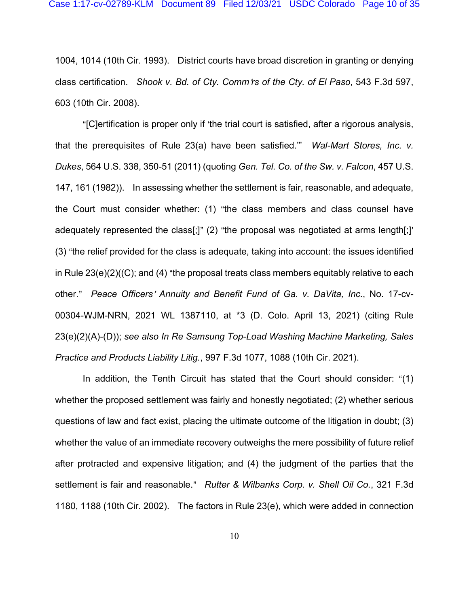1004, 1014 (10th Cir. 1993). District courts have broad discretion in granting or denying class certification. *Shook v. Bd. of Cty. Comm'rs of the Cty. of El Paso*, 543 F.3d 597, 603 (10th Cir. 2008).

"[C]ertification is proper only if 'the trial court is satisfied, after a rigorous analysis, that the prerequisites of Rule 23(a) have been satisfied.'" *Wal-Mart Stores, Inc. v. Dukes*, 564 U.S. 338, 350-51 (2011) (quoting *Gen. Tel. Co. of the Sw. v. Falcon*, 457 U.S. 147, 161 (1982)). In assessing whether the settlement is fair, reasonable, and adequate, the Court must consider whether: (1) "the class members and class counsel have adequately represented the class[;]" (2) "the proposal was negotiated at arms length[;]' (3) "the relief provided for the class is adequate, taking into account: the issues identified in Rule  $23(e)(2)((C);$  and  $(4)$  "the proposal treats class members equitably relative to each other.@ *Peace Officers*= *Annuity and Benefit Fund of Ga. v. DaVita, Inc.*, No. 17-cv-00304-WJM-NRN, 2021 WL 1387110, at \*3 (D. Colo. April 13, 2021) (citing Rule 23(e)(2)(A)-(D)); *see also In Re Samsung Top-Load Washing Machine Marketing, Sales Practice and Products Liability Litig.*, 997 F.3d 1077, 1088 (10th Cir. 2021).

In addition, the Tenth Circuit has stated that the Court should consider:  $\lq(1)$ whether the proposed settlement was fairly and honestly negotiated; (2) whether serious questions of law and fact exist, placing the ultimate outcome of the litigation in doubt; (3) whether the value of an immediate recovery outweighs the mere possibility of future relief after protracted and expensive litigation; and (4) the judgment of the parties that the settlement is fair and reasonable." Rutter & Wilbanks Corp. v. Shell Oil Co., 321 F.3d 1180, 1188 (10th Cir. 2002). The factors in Rule 23(e), which were added in connection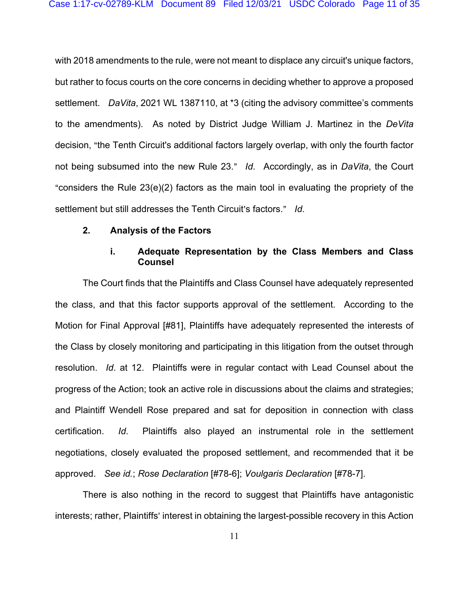with 2018 amendments to the rule, were not meant to displace any circuit's unique factors, but rather to focus courts on the core concerns in deciding whether to approve a proposed settlement. *DaVita*, 2021 WL 1387110, at \*3 (citing the advisory committee's comments to the amendments). As noted by District Judge William J. Martinez in the *DeVita*  decision, "the Tenth Circuit's additional factors largely overlap, with only the fourth factor not being subsumed into the new Rule 23." *Id*. Accordingly, as in *DaVita*, the Court "considers the Rule  $23(e)(2)$  factors as the main tool in evaluating the propriety of the settlement but still addresses the Tenth Circuit's factors." Id.

### **2. Analysis of the Factors**

## **i. Adequate Representation by the Class Members and Class Counsel**

The Court finds that the Plaintiffs and Class Counsel have adequately represented the class, and that this factor supports approval of the settlement. According to the Motion for Final Approval [#81], Plaintiffs have adequately represented the interests of the Class by closely monitoring and participating in this litigation from the outset through resolution. *Id*. at 12. Plaintiffs were in regular contact with Lead Counsel about the progress of the Action; took an active role in discussions about the claims and strategies; and Plaintiff Wendell Rose prepared and sat for deposition in connection with class certification. *Id*. Plaintiffs also played an instrumental role in the settlement negotiations, closely evaluated the proposed settlement, and recommended that it be approved. *See id.*; *Rose Declaration* [#78-6]; *Voulgaris Declaration* [#78-7].

There is also nothing in the record to suggest that Plaintiffs have antagonistic interests; rather, Plaintiffs' interest in obtaining the largest-possible recovery in this Action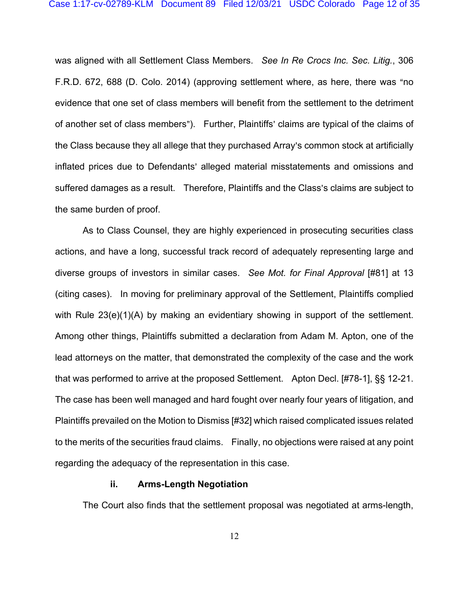was aligned with all Settlement Class Members. *See In Re Crocs Inc. Sec. Litig.*, 306 F.R.D. 672, 688 (D. Colo. 2014) (approving settlement where, as here, there was "no evidence that one set of class members will benefit from the settlement to the detriment of another set of class members"). Further, Plaintiffs' claims are typical of the claims of the Class because they all allege that they purchased Array's common stock at artificially inflated prices due to Defendants' alleged material misstatements and omissions and suffered damages as a result. Therefore, Plaintiffs and the Class's claims are subject to the same burden of proof.

As to Class Counsel, they are highly experienced in prosecuting securities class actions, and have a long, successful track record of adequately representing large and diverse groups of investors in similar cases. *See Mot. for Final Approval* [#81] at 13 (citing cases). In moving for preliminary approval of the Settlement, Plaintiffs complied with Rule 23(e)(1)(A) by making an evidentiary showing in support of the settlement. Among other things, Plaintiffs submitted a declaration from Adam M. Apton, one of the lead attorneys on the matter, that demonstrated the complexity of the case and the work that was performed to arrive at the proposed Settlement. Apton Decl. [#78-1], §§ 12-21. The case has been well managed and hard fought over nearly four years of litigation, and Plaintiffs prevailed on the Motion to Dismiss [#32] which raised complicated issues related to the merits of the securities fraud claims. Finally, no objections were raised at any point regarding the adequacy of the representation in this case.

#### **ii. Arms-Length Negotiation**

The Court also finds that the settlement proposal was negotiated at arms-length,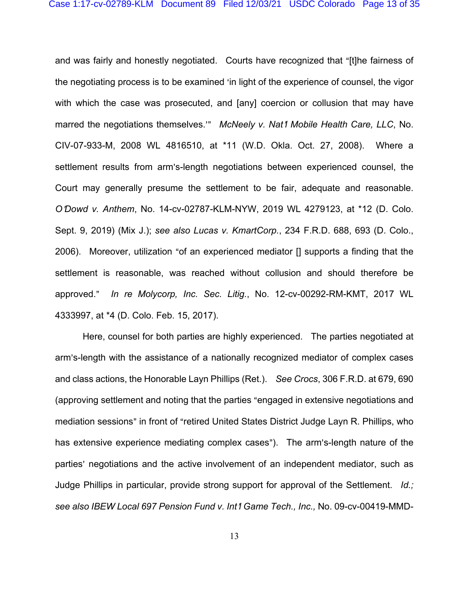and was fairly and honestly negotiated. Courts have recognized that "[t]he fairness of the negotiating process is to be examined 'in light of the experience of counsel, the vigor with which the case was prosecuted, and [any] coercion or collusion that may have marred the negotiations themselves.<sup>20</sup> *McNeely v. Nat1 Mobile Health Care, LLC*, No. CIV-07-933-M, 2008 WL 4816510, at \*11 (W.D. Okla. Oct. 27, 2008). Where a settlement results from arm's-length negotiations between experienced counsel, the Court may generally presume the settlement to be fair, adequate and reasonable. *O*=*Dowd v. Anthem*, No. 14-cv-02787-KLM-NYW, 2019 WL 4279123, at \*12 (D. Colo. Sept. 9, 2019) (Mix J.); *see also Lucas v. KmartCorp.*, 234 F.R.D. 688, 693 (D. Colo., 2006). Moreover, utilization "of an experienced mediator  $\iint$  supports a finding that the settlement is reasonable, was reached without collusion and should therefore be approved." In re Molycorp, Inc. Sec. Litig., No. 12-cv-00292-RM-KMT, 2017 WL 4333997, at \*4 (D. Colo. Feb. 15, 2017).

Here, counsel for both parties are highly experienced. The parties negotiated at arm's-length with the assistance of a nationally recognized mediator of complex cases and class actions, the Honorable Layn Phillips (Ret.). *See Crocs*, 306 F.R.D. at 679, 690 (approving settlement and noting that the parties "engaged in extensive negotiations and mediation sessions" in front of "retired United States District Judge Layn R. Phillips, who has extensive experience mediating complex cases"). The arm's-length nature of the parties' negotiations and the active involvement of an independent mediator, such as Judge Phillips in particular, provide strong support for approval of the Settlement. *Id.; see also IBEW Local 697 Pension Fund v. Int*=*l Game Tech., Inc.,* No. 09-cv-00419-MMD-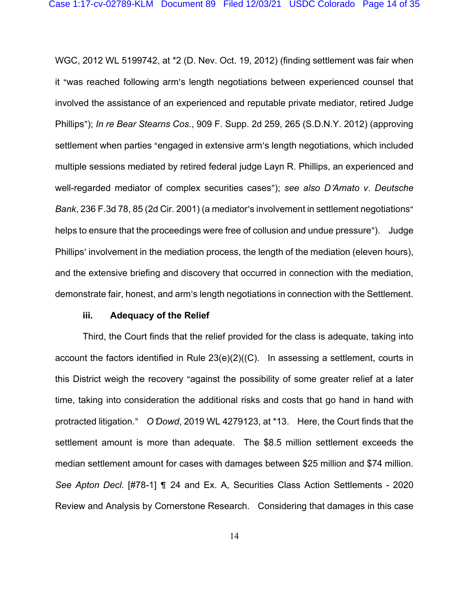WGC, 2012 WL 5199742, at \*2 (D. Nev. Oct. 19, 2012) (finding settlement was fair when it "was reached following arm's length negotiations between experienced counsel that involved the assistance of an experienced and reputable private mediator, retired Judge Phillips@); *In re Bear Stearns Cos.*, 909 F. Supp. 2d 259, 265 (S.D.N.Y. 2012) (approving settlement when parties "engaged in extensive arm's length negotiations, which included multiple sessions mediated by retired federal judge Layn R. Phillips, an experienced and well-regarded mediator of complex securities cases"); see also *D'Amato v. Deutsche Bank*, 236 F.3d 78, 85 (2d Cir. 2001) (a mediator's involvement in settlement negotiations" helps to ensure that the proceedings were free of collusion and undue pressure"). Judge Phillips' involvement in the mediation process, the length of the mediation (eleven hours), and the extensive briefing and discovery that occurred in connection with the mediation, demonstrate fair, honest, and arm's length negotiations in connection with the Settlement.

#### **iii. Adequacy of the Relief**

Third, the Court finds that the relief provided for the class is adequate, taking into account the factors identified in Rule 23(e)(2)((C). In assessing a settlement, courts in this District weigh the recovery "against the possibility of some greater relief at a later time, taking into consideration the additional risks and costs that go hand in hand with protracted litigation." O'Dowd, 2019 WL 4279123, at \*13. Here, the Court finds that the settlement amount is more than adequate. The \$8.5 million settlement exceeds the median settlement amount for cases with damages between \$25 million and \$74 million. See Apton Decl. [#78-1] **1** 24 and Ex. A, Securities Class Action Settlements - 2020 Review and Analysis by Cornerstone Research. Considering that damages in this case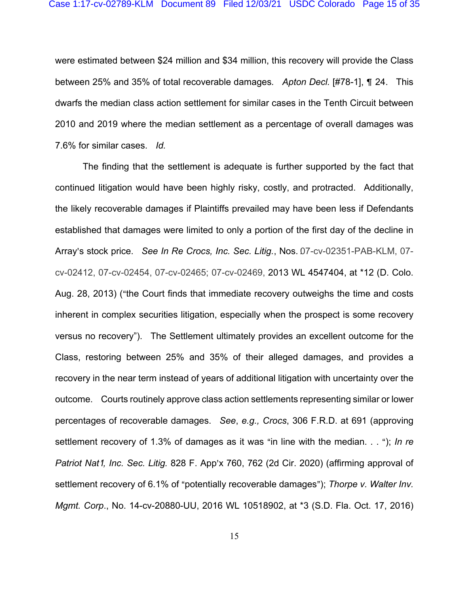were estimated between \$24 million and \$34 million, this recovery will provide the Class between 25% and 35% of total recoverable damages. Apton Decl. [#78-1], ¶ 24. This dwarfs the median class action settlement for similar cases in the Tenth Circuit between 2010 and 2019 where the median settlement as a percentage of overall damages was 7.6% for similar cases. *Id.* 

The finding that the settlement is adequate is further supported by the fact that continued litigation would have been highly risky, costly, and protracted. Additionally, the likely recoverable damages if Plaintiffs prevailed may have been less if Defendants established that damages were limited to only a portion of the first day of the decline in Array's stock price. *See In Re Crocs, Inc. Sec. Litig.*, Nos. 07-cv-02351-PAB-KLM, 07cv-02412, 07-cv-02454, 07-cv-02465; 07-cv-02469, 2013 WL 4547404, at \*12 (D. Colo. Aug. 28, 2013) ("the Court finds that immediate recovery outweighs the time and costs inherent in complex securities litigation, especially when the prospect is some recovery versus no recovery"). The Settlement ultimately provides an excellent outcome for the Class, restoring between 25% and 35% of their alleged damages, and provides a recovery in the near term instead of years of additional litigation with uncertainty over the outcome. Courts routinely approve class action settlements representing similar or lower percentages of recoverable damages. *See*, *e.g., Crocs*, 306 F.R.D. at 691 (approving settlement recovery of 1.3% of damages as it was "in line with the median. . . "); *In re Patriot Nat<sup>†</sup>, Inc. Sec. Litig.* 828 F. App'x 760, 762 (2d Cir. 2020) (affirming approval of settlement recovery of 6.1% of "potentially recoverable damages"); *Thorpe v. Walter Inv. Mgmt. Corp*., No. 14-cv-20880-UU, 2016 WL 10518902, at \*3 (S.D. Fla. Oct. 17, 2016)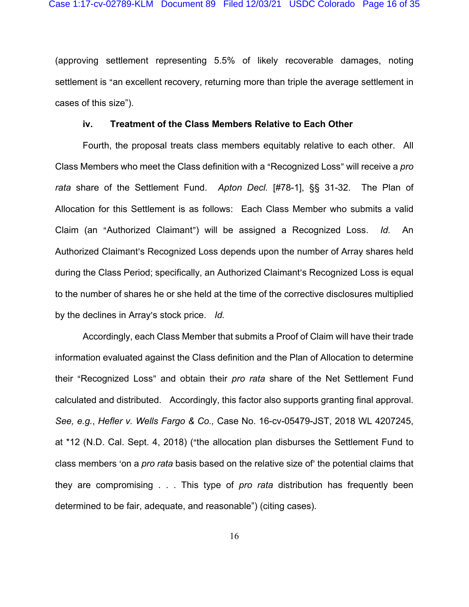(approving settlement representing 5.5% of likely recoverable damages, noting settlement is "an excellent recovery, returning more than triple the average settlement in cases of this size").

### **iv. Treatment of the Class Members Relative to Each Other**

Fourth, the proposal treats class members equitably relative to each other. All Class Members who meet the Class definition with a "Recognized Loss" will receive a *pro rata* share of the Settlement Fund. *Apton Decl.* [#78-1], §§ 31-32. The Plan of Allocation for this Settlement is as follows: Each Class Member who submits a valid Claim (an "Authorized Claimant") will be assigned a Recognized Loss. *Id.* An Authorized Claimant's Recognized Loss depends upon the number of Array shares held during the Class Period; specifically, an Authorized Claimant's Recognized Loss is equal to the number of shares he or she held at the time of the corrective disclosures multiplied by the declines in Array's stock price. *Id.* 

Accordingly, each Class Member that submits a Proof of Claim will have their trade information evaluated against the Class definition and the Plan of Allocation to determine their "Recognized Loss" and obtain their *pro rata* share of the Net Settlement Fund calculated and distributed. Accordingly, this factor also supports granting final approval. *See, e.g.*, *Hefler v. Wells Fargo & Co.,* Case No. 16-cv-05479-JST, 2018 WL 4207245, at \*12 (N.D. Cal. Sept. 4, 2018) ("the allocation plan disburses the Settlement Fund to class members 'on a *pro rata* basis based on the relative size of' the potential claims that they are compromising . . . This type of *pro rata* distribution has frequently been determined to be fair, adequate, and reasonable") (citing cases).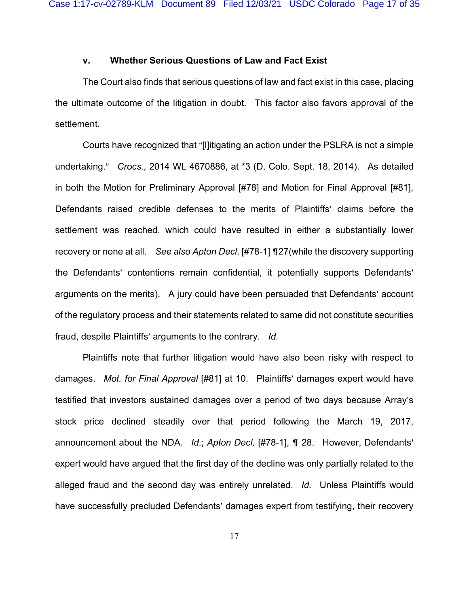## **v. Whether Serious Questions of Law and Fact Exist**

The Court also finds that serious questions of law and fact exist in this case, placing the ultimate outcome of the litigation in doubt. This factor also favors approval of the settlement.

Courts have recognized that "[l]itigating an action under the PSLRA is not a simple undertaking." *Crocs.*, 2014 WL 4670886, at \*3 (D. Colo. Sept. 18, 2014). As detailed in both the Motion for Preliminary Approval [#78] and Motion for Final Approval [#81], Defendants raised credible defenses to the merits of Plaintiffs' claims before the settlement was reached, which could have resulted in either a substantially lower recovery or none at all. *See also Apton Decl*. [#78-1] ¶27(while the discovery supporting the Defendants' contentions remain confidential, it potentially supports Defendants' arguments on the merits). A jury could have been persuaded that Defendants' account of the regulatory process and their statements related to same did not constitute securities fraud, despite Plaintiffs' arguments to the contrary. *Id.* 

Plaintiffs note that further litigation would have also been risky with respect to damages. *Mot. for Final Approval* [#81] at 10. Plaintiffs' damages expert would have testified that investors sustained damages over a period of two days because Array's stock price declined steadily over that period following the March 19, 2017, announcement about the NDA. *Id.*; *Apton Decl.* [#78-1], ¶ 28. However, Defendants' expert would have argued that the first day of the decline was only partially related to the alleged fraud and the second day was entirely unrelated. *Id.* Unless Plaintiffs would have successfully precluded Defendants' damages expert from testifying, their recovery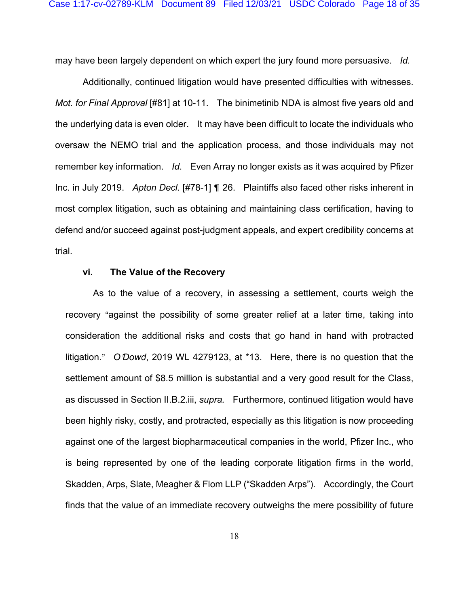may have been largely dependent on which expert the jury found more persuasive. *Id.* 

Additionally, continued litigation would have presented difficulties with witnesses. *Mot. for Final Approval* [#81] at 10-11. The binimetinib NDA is almost five years old and the underlying data is even older. It may have been difficult to locate the individuals who oversaw the NEMO trial and the application process, and those individuals may not remember key information. *Id*. Even Array no longer exists as it was acquired by Pfizer Inc. in July 2019. *Apton Decl.* [#78-1] **[** 26. Plaintiffs also faced other risks inherent in most complex litigation, such as obtaining and maintaining class certification, having to defend and/or succeed against post-judgment appeals, and expert credibility concerns at trial.

### **vi. The Value of the Recovery**

 As to the value of a recovery, in assessing a settlement, courts weigh the recovery "against the possibility of some greater relief at a later time, taking into consideration the additional risks and costs that go hand in hand with protracted litigation." O *Dowd*, 2019 WL 4279123, at \*13. Here, there is no question that the settlement amount of \$8.5 million is substantial and a very good result for the Class, as discussed in Section II.B.2.iii, *supra.* Furthermore, continued litigation would have been highly risky, costly, and protracted, especially as this litigation is now proceeding against one of the largest biopharmaceutical companies in the world, Pfizer Inc., who is being represented by one of the leading corporate litigation firms in the world, Skadden, Arps, Slate, Meagher & Flom LLP ("Skadden Arps"). Accordingly, the Court finds that the value of an immediate recovery outweighs the mere possibility of future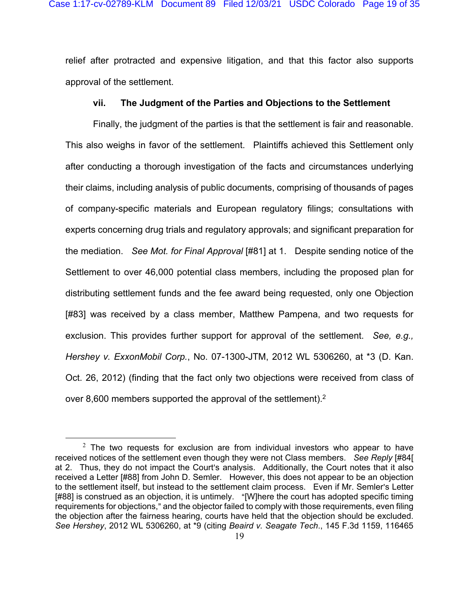relief after protracted and expensive litigation, and that this factor also supports approval of the settlement.

## **vii. The Judgment of the Parties and Objections to the Settlement**

Finally, the judgment of the parties is that the settlement is fair and reasonable. This also weighs in favor of the settlement. Plaintiffs achieved this Settlement only after conducting a thorough investigation of the facts and circumstances underlying their claims, including analysis of public documents, comprising of thousands of pages of company-specific materials and European regulatory filings; consultations with experts concerning drug trials and regulatory approvals; and significant preparation for the mediation. *See Mot. for Final Approval* [#81] at 1. Despite sending notice of the Settlement to over 46,000 potential class members, including the proposed plan for distributing settlement funds and the fee award being requested, only one Objection [#83] was received by a class member, Matthew Pampena, and two requests for exclusion. This provides further support for approval of the settlement. *See, e.g., Hershey v. ExxonMobil Corp.*, No. 07-1300-JTM, 2012 WL 5306260, at \*3 (D. Kan. Oct. 26, 2012) (finding that the fact only two objections were received from class of over 8,600 members supported the approval of the settlement).<sup>2</sup>

 $2$  The two requests for exclusion are from individual investors who appear to have received notices of the settlement even though they were not Class members. *See Reply* [#84[ at 2. Thus, they do not impact the Court's analysis. Additionally, the Court notes that it also received a Letter [#88] from John D. Semler. However, this does not appear to be an objection to the settlement itself, but instead to the settlement claim process. Even if Mr. Semler's Letter [#88] is construed as an objection, it is untimely. "[W]here the court has adopted specific timing requirements for objections," and the objector failed to comply with those requirements, even filing the objection after the fairness hearing, courts have held that the objection should be excluded. *See Hershey*, 2012 WL 5306260, at \*9 (citing *Beaird v. Seagate Tech*., 145 F.3d 1159, 116465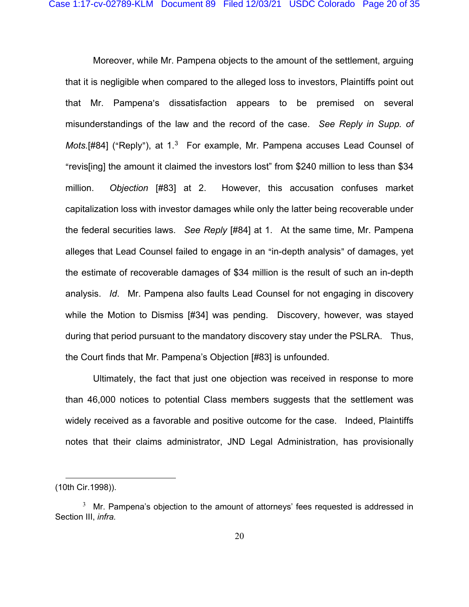Moreover, while Mr. Pampena objects to the amount of the settlement, arguing that it is negligible when compared to the alleged loss to investors, Plaintiffs point out that Mr. Pampena's dissatisfaction appears to be premised on several misunderstandings of the law and the record of the case. *See Reply in Supp. of Mots.* [#84] ("Reply"), at 1.<sup>3</sup> For example, Mr. Pampena accuses Lead Counsel of "revis[ing] the amount it claimed the investors lost" from \$240 million to less than \$34 million. *Objection* [#83] at 2. However, this accusation confuses market capitalization loss with investor damages while only the latter being recoverable under the federal securities laws. *See Reply* [#84] at 1. At the same time, Mr. Pampena alleges that Lead Counsel failed to engage in an "in-depth analysis" of damages, yet the estimate of recoverable damages of \$34 million is the result of such an in-depth analysis. *Id*. Mr. Pampena also faults Lead Counsel for not engaging in discovery while the Motion to Dismiss [#34] was pending. Discovery, however, was stayed during that period pursuant to the mandatory discovery stay under the PSLRA. Thus, the Court finds that Mr. Pampena's Objection [#83] is unfounded.

Ultimately, the fact that just one objection was received in response to more than 46,000 notices to potential Class members suggests that the settlement was widely received as a favorable and positive outcome for the case. Indeed, Plaintiffs notes that their claims administrator, JND Legal Administration, has provisionally

<sup>(10</sup>th Cir.1998)).

 $3$  Mr. Pampena's objection to the amount of attorneys' fees requested is addressed in Section III, *infra.*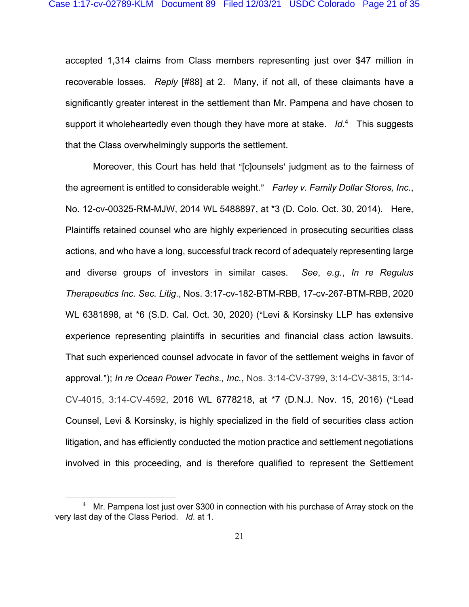accepted 1,314 claims from Class members representing just over \$47 million in recoverable losses. *Reply* [#88] at 2. Many, if not all, of these claimants have a significantly greater interest in the settlement than Mr. Pampena and have chosen to support it wholeheartedly even though they have more at stake. *Id*. 4 This suggests that the Class overwhelmingly supports the settlement.

Moreover, this Court has held that "[c]ounsels' judgment as to the fairness of the agreement is entitled to considerable weight." Farley v. Family Dollar Stores, Inc., No. 12-cv-00325-RM-MJW, 2014 WL 5488897, at \*3 (D. Colo. Oct. 30, 2014). Here, Plaintiffs retained counsel who are highly experienced in prosecuting securities class actions, and who have a long, successful track record of adequately representing large and diverse groups of investors in similar cases. *See*, *e.g.*, *In re Regulus Therapeutics Inc. Sec. Litig*., Nos. 3:17-cv-182-BTM-RBB, 17-cv-267-BTM-RBB, 2020 WL 6381898, at \*6 (S.D. Cal. Oct. 30, 2020) ("Levi & Korsinsky LLP has extensive experience representing plaintiffs in securities and financial class action lawsuits. That such experienced counsel advocate in favor of the settlement weighs in favor of approval.@); *In re Ocean Power Techs., Inc.*, Nos. 3:14-CV-3799, 3:14-CV-3815, 3:14- CV-4015, 3:14-CV-4592, 2016 WL 6778218, at \*7 (D.N.J. Nov. 15, 2016) ("Lead Counsel, Levi & Korsinsky, is highly specialized in the field of securities class action litigation, and has efficiently conducted the motion practice and settlement negotiations involved in this proceeding, and is therefore qualified to represent the Settlement

 $^4$  Mr. Pampena lost just over \$300 in connection with his purchase of Array stock on the very last day of the Class Period. *Id*. at 1.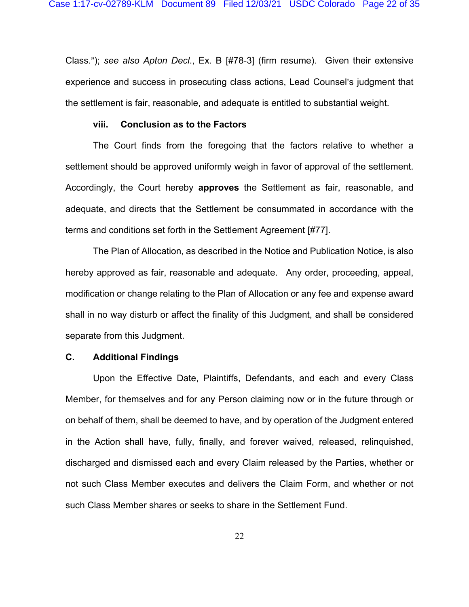Class.@); *see also Apton Decl*., Ex. B [#78-3] (firm resume). Given their extensive experience and success in prosecuting class actions, Lead Counsel's judgment that the settlement is fair, reasonable, and adequate is entitled to substantial weight.

## **viii. Conclusion as to the Factors**

The Court finds from the foregoing that the factors relative to whether a settlement should be approved uniformly weigh in favor of approval of the settlement. Accordingly, the Court hereby **approves** the Settlement as fair, reasonable, and adequate, and directs that the Settlement be consummated in accordance with the terms and conditions set forth in the Settlement Agreement [#77].

The Plan of Allocation, as described in the Notice and Publication Notice, is also hereby approved as fair, reasonable and adequate. Any order, proceeding, appeal, modification or change relating to the Plan of Allocation or any fee and expense award shall in no way disturb or affect the finality of this Judgment, and shall be considered separate from this Judgment.

## **C. Additional Findings**

Upon the Effective Date, Plaintiffs, Defendants, and each and every Class Member, for themselves and for any Person claiming now or in the future through or on behalf of them, shall be deemed to have, and by operation of the Judgment entered in the Action shall have, fully, finally, and forever waived, released, relinquished, discharged and dismissed each and every Claim released by the Parties, whether or not such Class Member executes and delivers the Claim Form, and whether or not such Class Member shares or seeks to share in the Settlement Fund.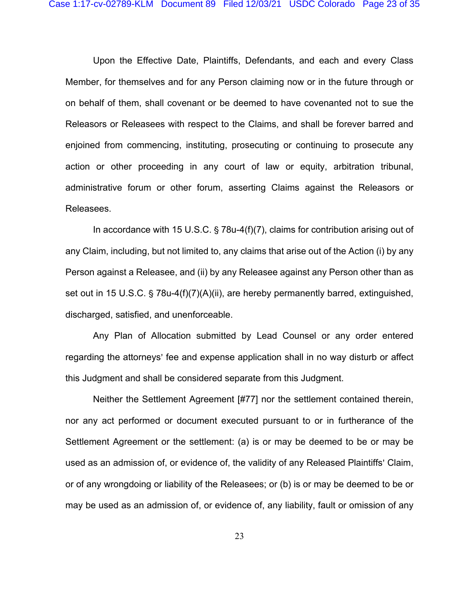Upon the Effective Date, Plaintiffs, Defendants, and each and every Class Member, for themselves and for any Person claiming now or in the future through or on behalf of them, shall covenant or be deemed to have covenanted not to sue the Releasors or Releasees with respect to the Claims, and shall be forever barred and enjoined from commencing, instituting, prosecuting or continuing to prosecute any action or other proceeding in any court of law or equity, arbitration tribunal, administrative forum or other forum, asserting Claims against the Releasors or Releasees.

In accordance with 15 U.S.C. § 78u-4(f)(7), claims for contribution arising out of any Claim, including, but not limited to, any claims that arise out of the Action (i) by any Person against a Releasee, and (ii) by any Releasee against any Person other than as set out in 15 U.S.C.  $\S$  78u-4(f)(7)(A)(ii), are hereby permanently barred, extinguished, discharged, satisfied, and unenforceable.

Any Plan of Allocation submitted by Lead Counsel or any order entered regarding the attorneys' fee and expense application shall in no way disturb or affect this Judgment and shall be considered separate from this Judgment.

Neither the Settlement Agreement [#77] nor the settlement contained therein, nor any act performed or document executed pursuant to or in furtherance of the Settlement Agreement or the settlement: (a) is or may be deemed to be or may be used as an admission of, or evidence of, the validity of any Released Plaintiffs' Claim, or of any wrongdoing or liability of the Releasees; or (b) is or may be deemed to be or may be used as an admission of, or evidence of, any liability, fault or omission of any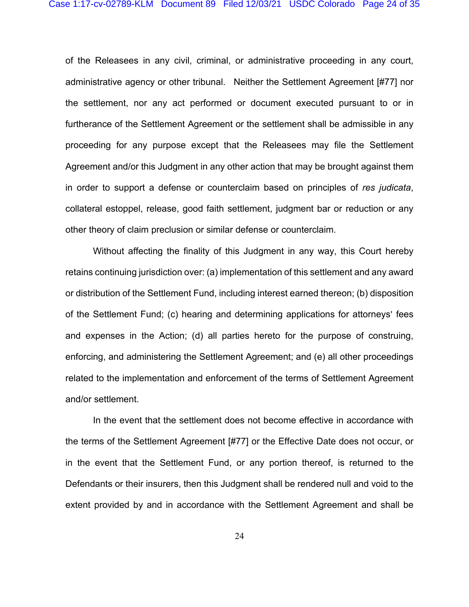of the Releasees in any civil, criminal, or administrative proceeding in any court, administrative agency or other tribunal. Neither the Settlement Agreement [#77] nor the settlement, nor any act performed or document executed pursuant to or in furtherance of the Settlement Agreement or the settlement shall be admissible in any proceeding for any purpose except that the Releasees may file the Settlement Agreement and/or this Judgment in any other action that may be brought against them in order to support a defense or counterclaim based on principles of *res judicata*, collateral estoppel, release, good faith settlement, judgment bar or reduction or any other theory of claim preclusion or similar defense or counterclaim.

Without affecting the finality of this Judgment in any way, this Court hereby retains continuing jurisdiction over: (a) implementation of this settlement and any award or distribution of the Settlement Fund, including interest earned thereon; (b) disposition of the Settlement Fund; (c) hearing and determining applications for attorneys' fees and expenses in the Action; (d) all parties hereto for the purpose of construing, enforcing, and administering the Settlement Agreement; and (e) all other proceedings related to the implementation and enforcement of the terms of Settlement Agreement and/or settlement.

In the event that the settlement does not become effective in accordance with the terms of the Settlement Agreement [#77] or the Effective Date does not occur, or in the event that the Settlement Fund, or any portion thereof, is returned to the Defendants or their insurers, then this Judgment shall be rendered null and void to the extent provided by and in accordance with the Settlement Agreement and shall be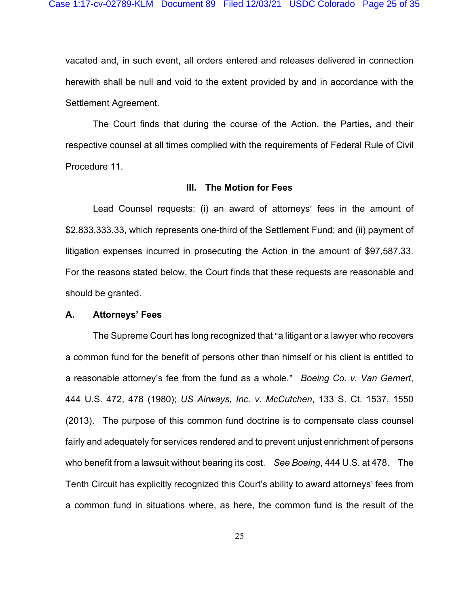vacated and, in such event, all orders entered and releases delivered in connection herewith shall be null and void to the extent provided by and in accordance with the Settlement Agreement.

The Court finds that during the course of the Action, the Parties, and their respective counsel at all times complied with the requirements of Federal Rule of Civil Procedure 11.

#### **III. The Motion for Fees**

Lead Counsel requests: (i) an award of attorneys' fees in the amount of \$2,833,333.33, which represents one-third of the Settlement Fund; and (ii) payment of litigation expenses incurred in prosecuting the Action in the amount of \$97,587.33. For the reasons stated below, the Court finds that these requests are reasonable and should be granted.

#### **A. Attorneys' Fees**

The Supreme Court has long recognized that "a litigant or a lawyer who recovers a common fund for the benefit of persons other than himself or his client is entitled to a reasonable attorney's fee from the fund as a whole." *Boeing Co. v. Van Gemert*, 444 U.S. 472, 478 (1980); *US Airways, Inc. v. McCutchen*, 133 S. Ct. 1537, 1550 (2013). The purpose of this common fund doctrine is to compensate class counsel fairly and adequately for services rendered and to prevent unjust enrichment of persons who benefit from a lawsuit without bearing its cost. *See Boeing*, 444 U.S. at 478. The Tenth Circuit has explicitly recognized this Court's ability to award attorneys' fees from a common fund in situations where, as here, the common fund is the result of the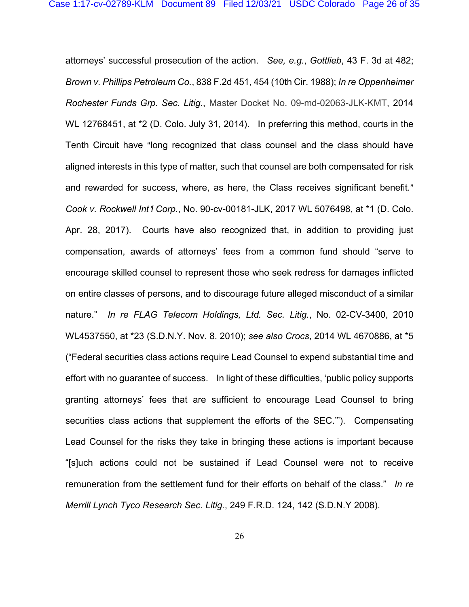attorneys' successful prosecution of the action. *See, e.g.*, *Gottlieb*, 43 F. 3d at 482; *Brown v. Phillips Petroleum Co.*, 838 F.2d 451, 454 (10th Cir. 1988); *In re Oppenheimer Rochester Funds Grp. Sec. Litig.*, Master Docket No. 09-md-02063-JLK-KMT, 2014 WL 12768451, at \*2 (D. Colo. July 31, 2014). In preferring this method, courts in the Tenth Circuit have "long recognized that class counsel and the class should have aligned interests in this type of matter, such that counsel are both compensated for risk and rewarded for success, where, as here, the Class receives significant benefit." *Cook v. Rockwell Int*=*l Corp.*, No. 90-cv-00181-JLK, 2017 WL 5076498, at \*1 (D. Colo. Apr. 28, 2017). Courts have also recognized that, in addition to providing just compensation, awards of attorneys' fees from a common fund should "serve to encourage skilled counsel to represent those who seek redress for damages inflicted on entire classes of persons, and to discourage future alleged misconduct of a similar nature." *In re FLAG Telecom Holdings, Ltd. Sec. Litig.*, No. 02-CV-3400, 2010 WL4537550, at \*23 (S.D.N.Y. Nov. 8. 2010); *see also Crocs*, 2014 WL 4670886, at \*5 ("Federal securities class actions require Lead Counsel to expend substantial time and effort with no guarantee of success. In light of these difficulties, 'public policy supports granting attorneys' fees that are sufficient to encourage Lead Counsel to bring securities class actions that supplement the efforts of the SEC.'"). Compensating Lead Counsel for the risks they take in bringing these actions is important because "[s]uch actions could not be sustained if Lead Counsel were not to receive remuneration from the settlement fund for their efforts on behalf of the class." *In re Merrill Lynch Tyco Research Sec. Litig.*, 249 F.R.D. 124, 142 (S.D.N.Y 2008).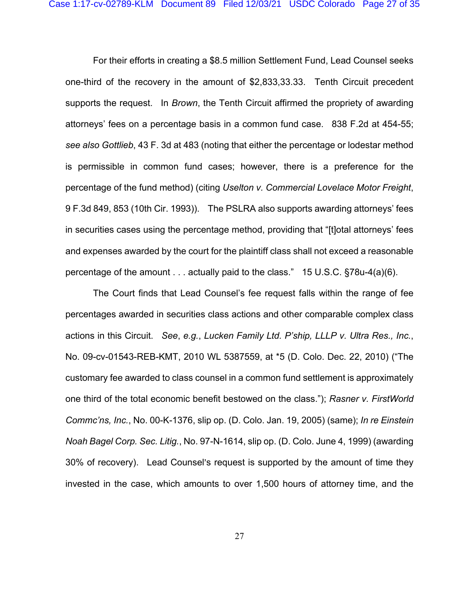For their efforts in creating a \$8.5 million Settlement Fund, Lead Counsel seeks one-third of the recovery in the amount of \$2,833,33.33. Tenth Circuit precedent supports the request. In *Brown*, the Tenth Circuit affirmed the propriety of awarding attorneys' fees on a percentage basis in a common fund case. 838 F.2d at 454-55; *see also Gottlieb*, 43 F. 3d at 483 (noting that either the percentage or lodestar method is permissible in common fund cases; however, there is a preference for the percentage of the fund method) (citing *Uselton v. Commercial Lovelace Motor Freight*, 9 F.3d 849, 853 (10th Cir. 1993)). The PSLRA also supports awarding attorneys' fees in securities cases using the percentage method, providing that "[t]otal attorneys' fees and expenses awarded by the court for the plaintiff class shall not exceed a reasonable percentage of the amount . . . actually paid to the class." 15 U.S.C. §78u-4(a)(6).

The Court finds that Lead Counsel's fee request falls within the range of fee percentages awarded in securities class actions and other comparable complex class actions in this Circuit. *See*, *e.g.*, *Lucken Family Ltd. P'ship, LLLP v. Ultra Res., Inc.*, No. 09-cv-01543-REB-KMT, 2010 WL 5387559, at \*5 (D. Colo. Dec. 22, 2010) ("The customary fee awarded to class counsel in a common fund settlement is approximately one third of the total economic benefit bestowed on the class."); *Rasner v. FirstWorld Commc'ns, Inc.*, No. 00-K-1376, slip op. (D. Colo. Jan. 19, 2005) (same); *In re Einstein Noah Bagel Corp. Sec. Litig.*, No. 97-N-1614, slip op. (D. Colo. June 4, 1999) (awarding 30% of recovery). Lead Counsel's request is supported by the amount of time they invested in the case, which amounts to over 1,500 hours of attorney time, and the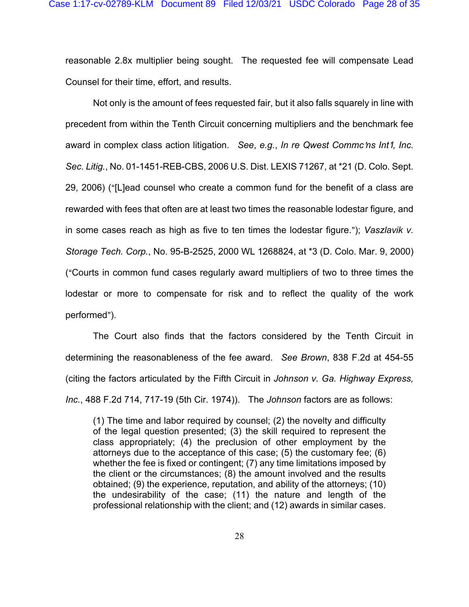reasonable 2.8x multiplier being sought. The requested fee will compensate Lead Counsel for their time, effort, and results.

Not only is the amount of fees requested fair, but it also falls squarely in line with precedent from within the Tenth Circuit concerning multipliers and the benchmark fee award in complex class action litigation. See, e.g., In re Qwest Commc'ns Int<sup>t</sup>, Inc. *Sec. Litig.*, No. 01-1451-REB-CBS, 2006 U.S. Dist. LEXIS 71267, at \*21 (D. Colo. Sept. 29, 2006) ("[L]ead counsel who create a common fund for the benefit of a class are rewarded with fees that often are at least two times the reasonable lodestar figure, and in some cases reach as high as five to ten times the lodestar figure."); *Vaszlavik v. Storage Tech. Corp.*, No. 95-B-2525, 2000 WL 1268824, at \*3 (D. Colo. Mar. 9, 2000) ("Courts in common fund cases regularly award multipliers of two to three times the lodestar or more to compensate for risk and to reflect the quality of the work performed").

The Court also finds that the factors considered by the Tenth Circuit in determining the reasonableness of the fee award. *See Brown*, 838 F.2d at 454-55 (citing the factors articulated by the Fifth Circuit in *Johnson v. Ga. Highway Express, Inc.*, 488 F.2d 714, 717-19 (5th Cir. 1974)). The *Johnson* factors are as follows:

(1) The time and labor required by counsel; (2) the novelty and difficulty of the legal question presented; (3) the skill required to represent the class appropriately; (4) the preclusion of other employment by the attorneys due to the acceptance of this case; (5) the customary fee; (6) whether the fee is fixed or contingent; (7) any time limitations imposed by the client or the circumstances; (8) the amount involved and the results obtained; (9) the experience, reputation, and ability of the attorneys; (10) the undesirability of the case; (11) the nature and length of the professional relationship with the client; and (12) awards in similar cases.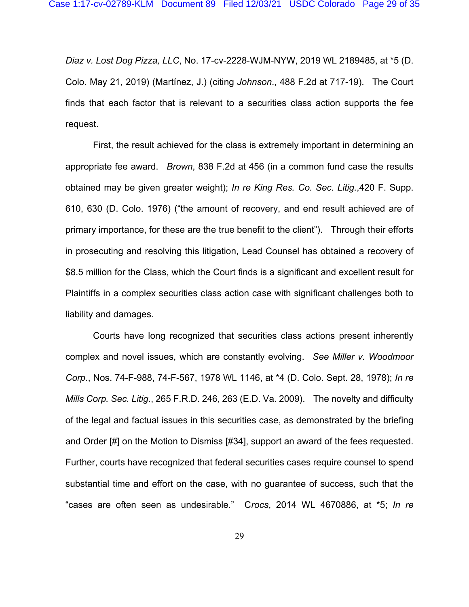*Diaz v. Lost Dog Pizza, LLC*, No. 17-cv-2228-WJM-NYW, 2019 WL 2189485, at \*5 (D. Colo. May 21, 2019) (Martínez, J.) (citing *Johnson*., 488 F.2d at 717-19). The Court finds that each factor that is relevant to a securities class action supports the fee request.

 First, the result achieved for the class is extremely important in determining an appropriate fee award. *Brown*, 838 F.2d at 456 (in a common fund case the results obtained may be given greater weight); *In re King Res. Co. Sec. Litig.*,420 F. Supp. 610, 630 (D. Colo. 1976) ("the amount of recovery, and end result achieved are of primary importance, for these are the true benefit to the client"). Through their efforts in prosecuting and resolving this litigation, Lead Counsel has obtained a recovery of \$8.5 million for the Class, which the Court finds is a significant and excellent result for Plaintiffs in a complex securities class action case with significant challenges both to liability and damages.

Courts have long recognized that securities class actions present inherently complex and novel issues, which are constantly evolving. *See Miller v. Woodmoor Corp.*, Nos. 74-F-988, 74-F-567, 1978 WL 1146, at \*4 (D. Colo. Sept. 28, 1978); *In re Mills Corp. Sec. Litig*., 265 F.R.D. 246, 263 (E.D. Va. 2009). The novelty and difficulty of the legal and factual issues in this securities case, as demonstrated by the briefing and Order [#] on the Motion to Dismiss [#34], support an award of the fees requested. Further, courts have recognized that federal securities cases require counsel to spend substantial time and effort on the case, with no guarantee of success, such that the "cases are often seen as undesirable." C*rocs*, 2014 WL 4670886, at \*5; *In re*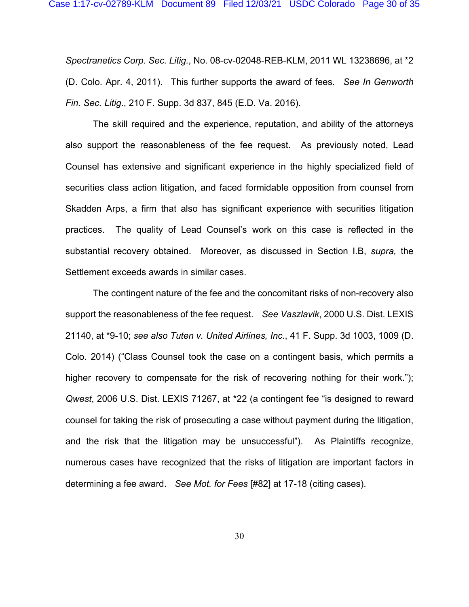*Spectranetics Corp. Sec. Litig.*, No. 08-cv-02048-REB-KLM, 2011 WL 13238696, at \*2 (D. Colo. Apr. 4, 2011). This further supports the award of fees. *See In Genworth Fin. Sec. Litig*., 210 F. Supp. 3d 837, 845 (E.D. Va. 2016).

The skill required and the experience, reputation, and ability of the attorneys also support the reasonableness of the fee request. As previously noted, Lead Counsel has extensive and significant experience in the highly specialized field of securities class action litigation, and faced formidable opposition from counsel from Skadden Arps, a firm that also has significant experience with securities litigation practices. The quality of Lead Counsel's work on this case is reflected in the substantial recovery obtained. Moreover, as discussed in Section I.B, *supra,* the Settlement exceeds awards in similar cases.

The contingent nature of the fee and the concomitant risks of non-recovery also support the reasonableness of the fee request. *See Vaszlavik*, 2000 U.S. Dist. LEXIS 21140, at \*9-10; *see also Tuten v. United Airlines, Inc*., 41 F. Supp. 3d 1003, 1009 (D. Colo. 2014) ("Class Counsel took the case on a contingent basis, which permits a higher recovery to compensate for the risk of recovering nothing for their work."); *Qwest*, 2006 U.S. Dist. LEXIS 71267, at \*22 (a contingent fee "is designed to reward counsel for taking the risk of prosecuting a case without payment during the litigation, and the risk that the litigation may be unsuccessful"). As Plaintiffs recognize, numerous cases have recognized that the risks of litigation are important factors in determining a fee award. *See Mot. for Fees* [#82] at 17-18 (citing cases).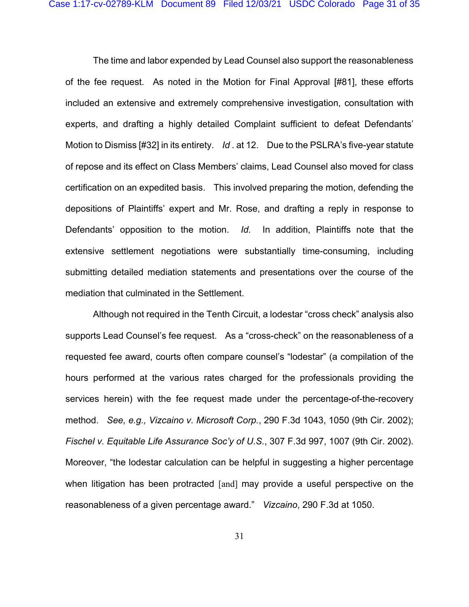The time and labor expended by Lead Counsel also support the reasonableness of the fee request. As noted in the Motion for Final Approval [#81], these efforts included an extensive and extremely comprehensive investigation, consultation with experts, and drafting a highly detailed Complaint sufficient to defeat Defendants' Motion to Dismiss [#32] in its entirety. *Id* . at 12. Due to the PSLRA's five-year statute of repose and its effect on Class Members' claims, Lead Counsel also moved for class certification on an expedited basis. This involved preparing the motion, defending the depositions of Plaintiffs' expert and Mr. Rose, and drafting a reply in response to Defendants' opposition to the motion. *Id.* In addition, Plaintiffs note that the extensive settlement negotiations were substantially time-consuming, including submitting detailed mediation statements and presentations over the course of the mediation that culminated in the Settlement.

Although not required in the Tenth Circuit, a lodestar "cross check" analysis also supports Lead Counsel's fee request. As a "cross-check" on the reasonableness of a requested fee award, courts often compare counsel's "lodestar" (a compilation of the hours performed at the various rates charged for the professionals providing the services herein) with the fee request made under the percentage-of-the-recovery method. *See, e.g., Vizcaino v. Microsoft Corp.*, 290 F.3d 1043, 1050 (9th Cir. 2002); *Fischel v. Equitable Life Assurance Soc'y of U.S.*, 307 F.3d 997, 1007 (9th Cir. 2002). Moreover, "the lodestar calculation can be helpful in suggesting a higher percentage when litigation has been protracted [and] may provide a useful perspective on the reasonableness of a given percentage award." *Vizcaino*, 290 F.3d at 1050.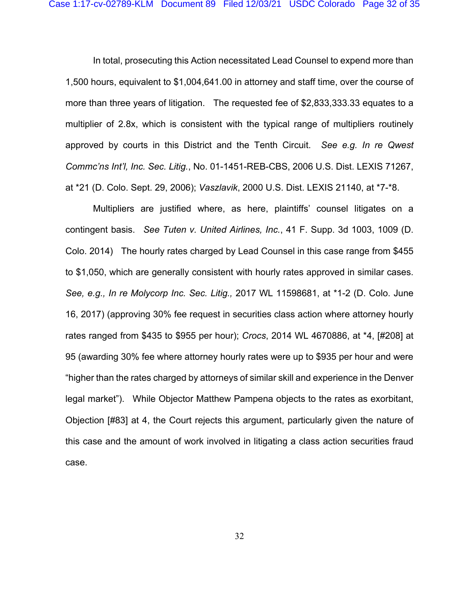In total, prosecuting this Action necessitated Lead Counsel to expend more than 1,500 hours, equivalent to \$1,004,641.00 in attorney and staff time, over the course of more than three years of litigation. The requested fee of \$2,833,333.33 equates to a multiplier of 2.8x, which is consistent with the typical range of multipliers routinely approved by courts in this District and the Tenth Circuit. *See e.g. In re Qwest Commc'ns Int'l, Inc. Sec. Litig.*, No. 01-1451-REB-CBS, 2006 U.S. Dist. LEXIS 71267, at \*21 (D. Colo. Sept. 29, 2006); *Vaszlavik*, 2000 U.S. Dist. LEXIS 21140, at \*7-\*8.

Multipliers are justified where, as here, plaintiffs' counsel litigates on a contingent basis. *See Tuten v. United Airlines, Inc.*, 41 F. Supp. 3d 1003, 1009 (D. Colo. 2014) The hourly rates charged by Lead Counsel in this case range from \$455 to \$1,050, which are generally consistent with hourly rates approved in similar cases. *See, e.g., In re Molycorp Inc. Sec. Litig.,* 2017 WL 11598681, at \*1-2 (D. Colo. June 16, 2017) (approving 30% fee request in securities class action where attorney hourly rates ranged from \$435 to \$955 per hour); *Crocs*, 2014 WL 4670886, at \*4, [#208] at 95 (awarding 30% fee where attorney hourly rates were up to \$935 per hour and were "higher than the rates charged by attorneys of similar skill and experience in the Denver legal market"). While Objector Matthew Pampena objects to the rates as exorbitant, Objection [#83] at 4, the Court rejects this argument, particularly given the nature of this case and the amount of work involved in litigating a class action securities fraud case.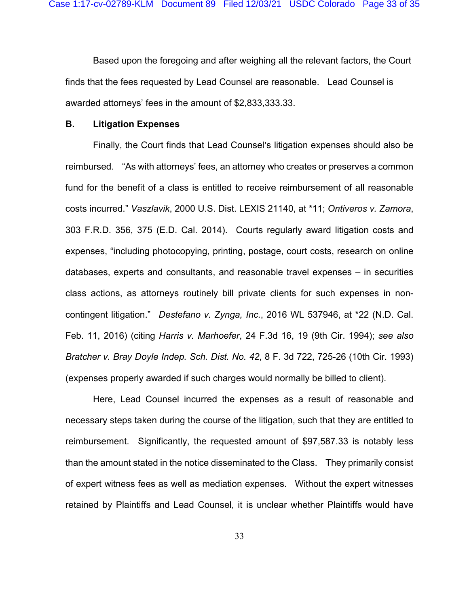Based upon the foregoing and after weighing all the relevant factors, the Court finds that the fees requested by Lead Counsel are reasonable. Lead Counsel is awarded attorneys' fees in the amount of \$2,833,333.33.

### **B. Litigation Expenses**

Finally, the Court finds that Lead Counsel's litigation expenses should also be reimbursed. "As with attorneys' fees, an attorney who creates or preserves a common fund for the benefit of a class is entitled to receive reimbursement of all reasonable costs incurred." *Vaszlavik*, 2000 U.S. Dist. LEXIS 21140, at \*11; *Ontiveros v. Zamora*, 303 F.R.D. 356, 375 (E.D. Cal. 2014). Courts regularly award litigation costs and expenses, "including photocopying, printing, postage, court costs, research on online databases, experts and consultants, and reasonable travel expenses – in securities class actions, as attorneys routinely bill private clients for such expenses in noncontingent litigation." *Destefano v. Zynga, Inc.*, 2016 WL 537946, at \*22 (N.D. Cal. Feb. 11, 2016) (citing *Harris v. Marhoefer*, 24 F.3d 16, 19 (9th Cir. 1994); *see also Bratcher v. Bray Doyle Indep. Sch. Dist. No. 42*, 8 F. 3d 722, 725-26 (10th Cir. 1993) (expenses properly awarded if such charges would normally be billed to client).

Here, Lead Counsel incurred the expenses as a result of reasonable and necessary steps taken during the course of the litigation, such that they are entitled to reimbursement. Significantly, the requested amount of \$97,587.33 is notably less than the amount stated in the notice disseminated to the Class. They primarily consist of expert witness fees as well as mediation expenses. Without the expert witnesses retained by Plaintiffs and Lead Counsel, it is unclear whether Plaintiffs would have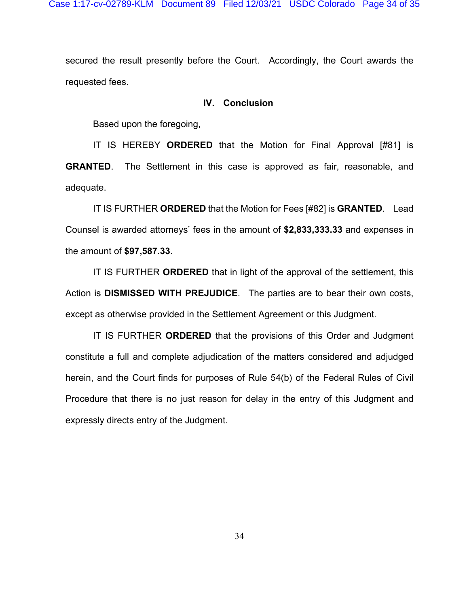secured the result presently before the Court. Accordingly, the Court awards the requested fees.

### **IV. Conclusion**

Based upon the foregoing,

IT IS HEREBY **ORDERED** that the Motion for Final Approval [#81] is **GRANTED**. The Settlement in this case is approved as fair, reasonable, and adequate.

IT IS FURTHER **ORDERED** that the Motion for Fees [#82] is **GRANTED**. Lead Counsel is awarded attorneys' fees in the amount of **\$2,833,333.33** and expenses in the amount of **\$97,587.33**.

IT IS FURTHER **ORDERED** that in light of the approval of the settlement, this Action is **DISMISSED WITH PREJUDICE**. The parties are to bear their own costs, except as otherwise provided in the Settlement Agreement or this Judgment.

IT IS FURTHER **ORDERED** that the provisions of this Order and Judgment constitute a full and complete adjudication of the matters considered and adjudged herein, and the Court finds for purposes of Rule 54(b) of the Federal Rules of Civil Procedure that there is no just reason for delay in the entry of this Judgment and expressly directs entry of the Judgment.